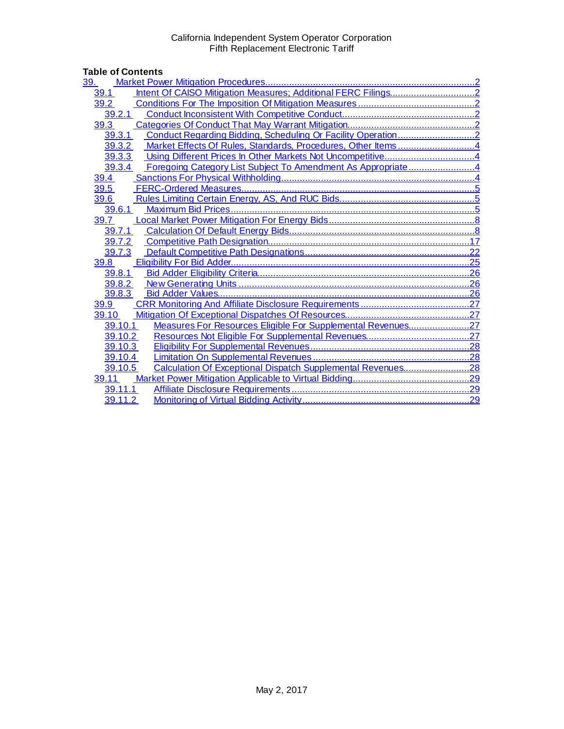| <b>Table of Contents</b>                                               |     |
|------------------------------------------------------------------------|-----|
|                                                                        |     |
| 39.1                                                                   |     |
| 39.2                                                                   |     |
|                                                                        |     |
| 39.3                                                                   |     |
|                                                                        |     |
| 39.3.2 Market Effects Of Rules, Standards, Procedures, Other Items4    |     |
| 39.3.3                                                                 |     |
| Foregoing Category List Subject To Amendment As Appropriate4<br>39.3.4 |     |
| 39.4                                                                   |     |
| 39.5                                                                   |     |
| 39.6                                                                   |     |
| 39.6.1                                                                 |     |
| 39.7                                                                   |     |
| 39.7.1                                                                 |     |
|                                                                        |     |
| 39.7.3                                                                 |     |
| 39.8                                                                   |     |
|                                                                        |     |
|                                                                        |     |
| 39.8.3                                                                 |     |
| 39.9                                                                   | .27 |
| 39.10                                                                  |     |
| Measures For Resources Eligible For Supplemental Revenues27<br>39.10.1 |     |
| 39.10.2                                                                | .27 |
| 39.10.3                                                                |     |
| 39.10.4                                                                |     |
| Calculation Of Exceptional Dispatch Supplemental Revenues28<br>39.10.5 |     |
| 39.11                                                                  |     |
| 39.11.1                                                                |     |
| 39.11.2                                                                |     |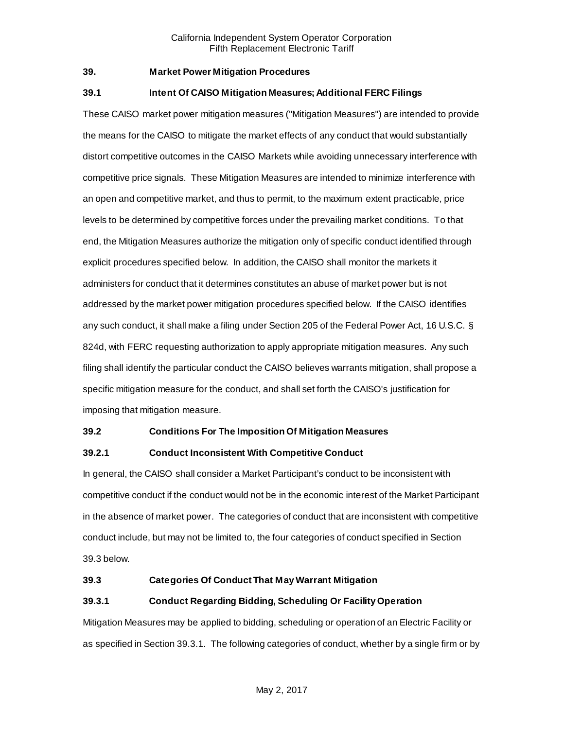# <span id="page-1-0"></span>**39. Market Power Mitigation Procedures**

#### <span id="page-1-1"></span>**39.1 Intent Of CAISO Mitigation Measures; Additional FERC Filings**

These CAISO market power mitigation measures ("Mitigation Measures") are intended to provide the means for the CAISO to mitigate the market effects of any conduct that would substantially distort competitive outcomes in the CAISO Markets while avoiding unnecessary interference with competitive price signals. These Mitigation Measures are intended to minimize interference with an open and competitive market, and thus to permit, to the maximum extent practicable, price levels to be determined by competitive forces under the prevailing market conditions. To that end, the Mitigation Measures authorize the mitigation only of specific conduct identified through explicit procedures specified below. In addition, the CAISO shall monitor the markets it administers for conduct that it determines constitutes an abuse of market power but is not addressed by the market power mitigation procedures specified below. If the CAISO identifies any such conduct, it shall make a filing under Section 205 of the Federal Power Act, 16 U.S.C. § 824d, with FERC requesting authorization to apply appropriate mitigation measures. Any such filing shall identify the particular conduct the CAISO believes warrants mitigation, shall propose a specific mitigation measure for the conduct, and shall set forth the CAISO's justification for imposing that mitigation measure.

#### <span id="page-1-2"></span>**39.2 Conditions For The Imposition Of Mitigation Measures**

#### <span id="page-1-3"></span>**39.2.1 Conduct Inconsistent With Competitive Conduct**

In general, the CAISO shall consider a Market Participant's conduct to be inconsistent with competitive conduct if the conduct would not be in the economic interest of the Market Participant in the absence of market power. The categories of conduct that are inconsistent with competitive conduct include, but may not be limited to, the four categories of conduct specified in Section 39.3 below.

#### <span id="page-1-4"></span>**39.3 Categories Of Conduct That May Warrant Mitigation**

#### <span id="page-1-5"></span>**39.3.1 Conduct Regarding Bidding, Scheduling Or Facility Operation**

Mitigation Measures may be applied to bidding, scheduling or operation of an Electric Facility or as specified in Section 39.3.1. The following categories of conduct, whether by a single firm or by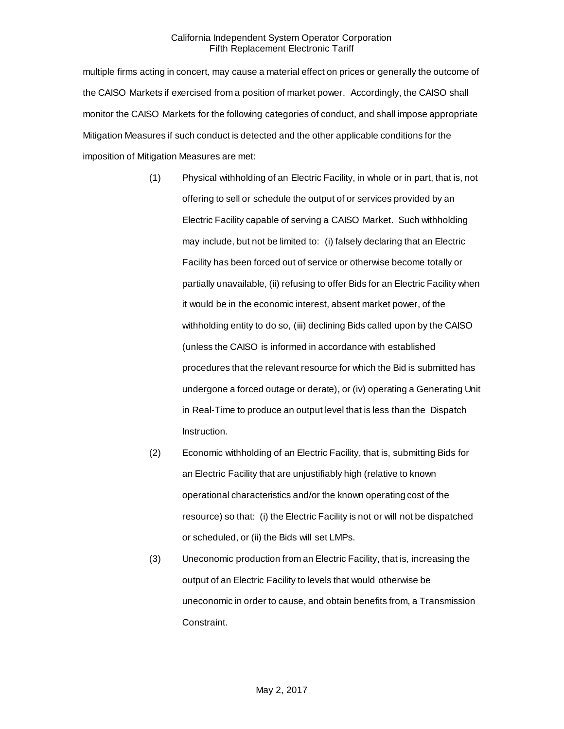multiple firms acting in concert, may cause a material effect on prices or generally the outcome of the CAISO Markets if exercised from a position of market power. Accordingly, the CAISO shall monitor the CAISO Markets for the following categories of conduct, and shall impose appropriate Mitigation Measures if such conduct is detected and the other applicable conditions for the imposition of Mitigation Measures are met:

- (1) Physical withholding of an Electric Facility, in whole or in part, that is, not offering to sell or schedule the output of or services provided by an Electric Facility capable of serving a CAISO Market. Such withholding may include, but not be limited to: (i) falsely declaring that an Electric Facility has been forced out of service or otherwise become totally or partially unavailable, (ii) refusing to offer Bids for an Electric Facility when it would be in the economic interest, absent market power, of the withholding entity to do so, (iii) declining Bids called upon by the CAISO (unless the CAISO is informed in accordance with established procedures that the relevant resource for which the Bid is submitted has undergone a forced outage or derate), or (iv) operating a Generating Unit in Real-Time to produce an output level that is less than the Dispatch Instruction.
- (2) Economic withholding of an Electric Facility, that is, submitting Bids for an Electric Facility that are unjustifiably high (relative to known operational characteristics and/or the known operating cost of the resource) so that: (i) the Electric Facility is not or will not be dispatched or scheduled, or (ii) the Bids will set LMPs.
- (3) Uneconomic production from an Electric Facility, that is, increasing the output of an Electric Facility to levels that would otherwise be uneconomic in order to cause, and obtain benefits from, a Transmission Constraint.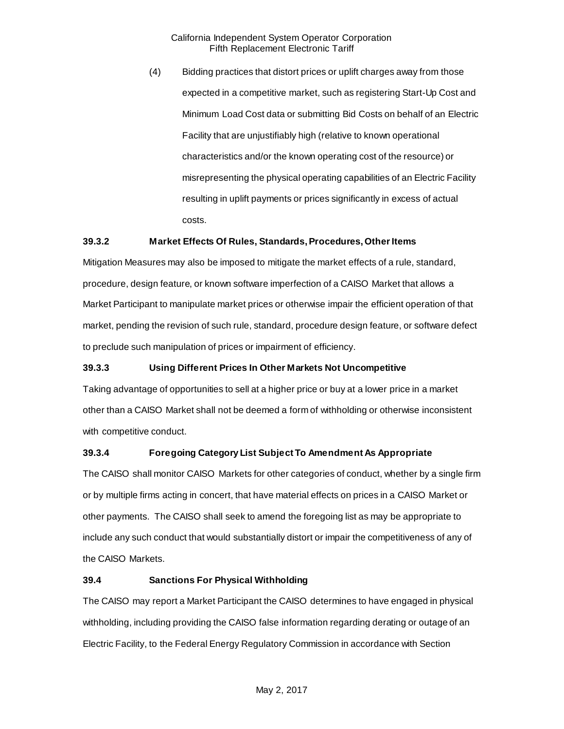(4) Bidding practices that distort prices or uplift charges away from those expected in a competitive market, such as registering Start-Up Cost and Minimum Load Cost data or submitting Bid Costs on behalf of an Electric Facility that are unjustifiably high (relative to known operational characteristics and/or the known operating cost of the resource) or misrepresenting the physical operating capabilities of an Electric Facility resulting in uplift payments or prices significantly in excess of actual costs.

### <span id="page-3-0"></span>**39.3.2 Market Effects Of Rules, Standards, Procedures, Other Items**

Mitigation Measures may also be imposed to mitigate the market effects of a rule, standard, procedure, design feature, or known software imperfection of a CAISO Market that allows a Market Participant to manipulate market prices or otherwise impair the efficient operation of that market, pending the revision of such rule, standard, procedure design feature, or software defect to preclude such manipulation of prices or impairment of efficiency.

# <span id="page-3-1"></span>**39.3.3 Using Different Prices In Other Markets Not Uncompetitive**

Taking advantage of opportunities to sell at a higher price or buy at a lower price in a market other than a CAISO Market shall not be deemed a form of withholding or otherwise inconsistent with competitive conduct.

# <span id="page-3-2"></span>**39.3.4 Foregoing Category List Subject To Amendment As Appropriate**

The CAISO shall monitor CAISO Markets for other categories of conduct, whether by a single firm or by multiple firms acting in concert, that have material effects on prices in a CAISO Market or other payments. The CAISO shall seek to amend the foregoing list as may be appropriate to include any such conduct that would substantially distort or impair the competitiveness of any of the CAISO Markets.

#### <span id="page-3-3"></span>**39.4 Sanctions For Physical Withholding**

The CAISO may report a Market Participant the CAISO determines to have engaged in physical withholding, including providing the CAISO false information regarding derating or outage of an Electric Facility, to the Federal Energy Regulatory Commission in accordance with Section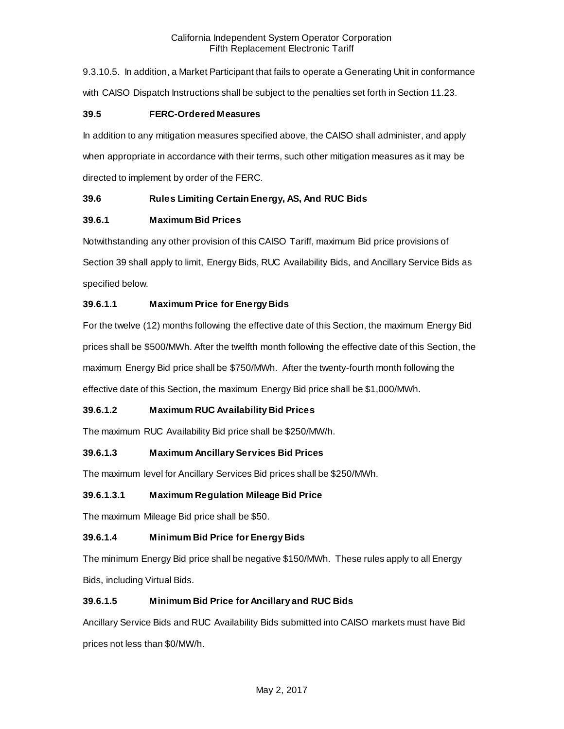9.3.10.5. In addition, a Market Participant that fails to operate a Generating Unit in conformance with CAISO Dispatch Instructions shall be subject to the penalties set forth in Section 11.23.

# <span id="page-4-0"></span>**39.5 FERC-Ordered Measures**

In addition to any mitigation measures specified above, the CAISO shall administer, and apply when appropriate in accordance with their terms, such other mitigation measures as it may be directed to implement by order of the FERC.

# <span id="page-4-1"></span>**39.6 Rules Limiting Certain Energy, AS, And RUC Bids**

# <span id="page-4-2"></span>**39.6.1 Maximum Bid Prices**

Notwithstanding any other provision of this CAISO Tariff, maximum Bid price provisions of Section 39 shall apply to limit, Energy Bids, RUC Availability Bids, and Ancillary Service Bids as specified below.

# **39.6.1.1 Maximum Price for Energy Bids**

For the twelve (12) months following the effective date of this Section, the maximum Energy Bid prices shall be \$500/MWh. After the twelfth month following the effective date of this Section, the maximum Energy Bid price shall be \$750/MWh. After the twenty-fourth month following the effective date of this Section, the maximum Energy Bid price shall be \$1,000/MWh.

# **39.6.1.2 Maximum RUC Availability Bid Prices**

The maximum RUC Availability Bid price shall be \$250/MW/h.

# **39.6.1.3 Maximum Ancillary Services Bid Prices**

The maximum level for Ancillary Services Bid prices shall be \$250/MWh.

# **39.6.1.3.1 Maximum Regulation Mileage Bid Price**

The maximum Mileage Bid price shall be \$50.

# **39.6.1.4 Minimum Bid Price for Energy Bids**

The minimum Energy Bid price shall be negative \$150/MWh. These rules apply to all Energy Bids, including Virtual Bids.

# **39.6.1.5 Minimum Bid Price for Ancillary and RUC Bids**

Ancillary Service Bids and RUC Availability Bids submitted into CAISO markets must have Bid prices not less than \$0/MW/h.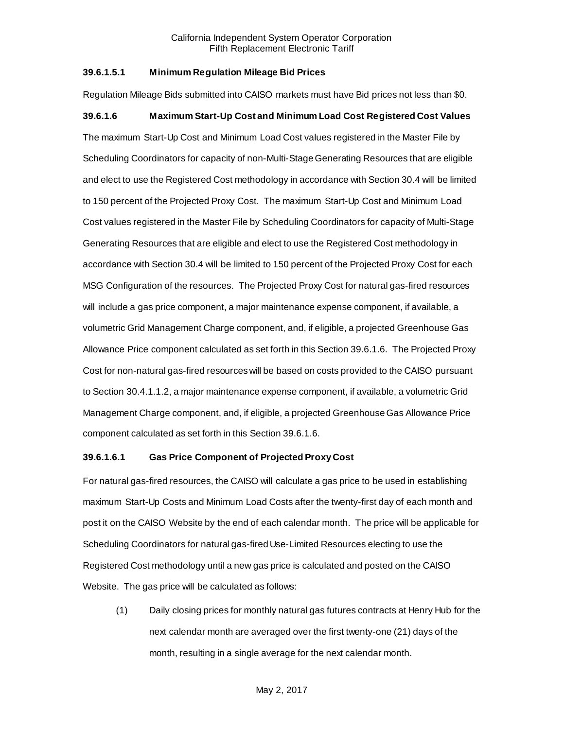### **39.6.1.5.1 Minimum Regulation Mileage Bid Prices**

Regulation Mileage Bids submitted into CAISO markets must have Bid prices not less than \$0.

# **39.6.1.6 Maximum Start-Up Cost and Minimum Load Cost Registered Cost Values**

The maximum Start-Up Cost and Minimum Load Cost values registered in the Master File by Scheduling Coordinators for capacity of non-Multi-Stage Generating Resources that are eligible and elect to use the Registered Cost methodology in accordance with Section 30.4 will be limited to 150 percent of the Projected Proxy Cost. The maximum Start-Up Cost and Minimum Load Cost values registered in the Master File by Scheduling Coordinators for capacity of Multi-Stage Generating Resources that are eligible and elect to use the Registered Cost methodology in accordance with Section 30.4 will be limited to 150 percent of the Projected Proxy Cost for each MSG Configuration of the resources. The Projected Proxy Cost for natural gas-fired resources will include a gas price component, a major maintenance expense component, if available, a volumetric Grid Management Charge component, and, if eligible, a projected Greenhouse Gas Allowance Price component calculated as set forth in this Section 39.6.1.6. The Projected Proxy Cost for non-natural gas-fired resources will be based on costs provided to the CAISO pursuant to Section 30.4.1.1.2, a major maintenance expense component, if available, a volumetric Grid Management Charge component, and, if eligible, a projected Greenhouse Gas Allowance Price component calculated as set forth in this Section 39.6.1.6.

#### **39.6.1.6.1 Gas Price Component of Projected Proxy Cost**

For natural gas-fired resources, the CAISO will calculate a gas price to be used in establishing maximum Start-Up Costs and Minimum Load Costs after the twenty-first day of each month and post it on the CAISO Website by the end of each calendar month. The price will be applicable for Scheduling Coordinators for natural gas-fired Use-Limited Resources electing to use the Registered Cost methodology until a new gas price is calculated and posted on the CAISO Website. The gas price will be calculated as follows:

(1) Daily closing prices for monthly natural gas futures contracts at Henry Hub for the next calendar month are averaged over the first twenty-one (21) days of the month, resulting in a single average for the next calendar month.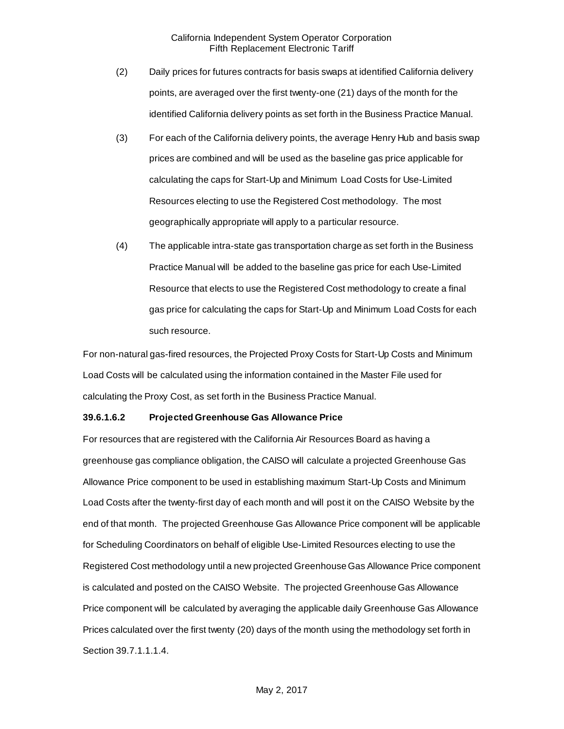- (2) Daily prices for futures contracts for basis swaps at identified California delivery points, are averaged over the first twenty-one (21) days of the month for the identified California delivery points as set forth in the Business Practice Manual.
- (3) For each of the California delivery points, the average Henry Hub and basis swap prices are combined and will be used as the baseline gas price applicable for calculating the caps for Start-Up and Minimum Load Costs for Use-Limited Resources electing to use the Registered Cost methodology. The most geographically appropriate will apply to a particular resource.
- (4) The applicable intra-state gas transportation charge as set forth in the Business Practice Manual will be added to the baseline gas price for each Use-Limited Resource that elects to use the Registered Cost methodology to create a final gas price for calculating the caps for Start-Up and Minimum Load Costs for each such resource.

For non-natural gas-fired resources, the Projected Proxy Costs for Start-Up Costs and Minimum Load Costs will be calculated using the information contained in the Master File used for calculating the Proxy Cost, as set forth in the Business Practice Manual.

#### **39.6.1.6.2 Projected Greenhouse Gas Allowance Price**

For resources that are registered with the California Air Resources Board as having a greenhouse gas compliance obligation, the CAISO will calculate a projected Greenhouse Gas Allowance Price component to be used in establishing maximum Start-Up Costs and Minimum Load Costs after the twenty-first day of each month and will post it on the CAISO Website by the end of that month. The projected Greenhouse Gas Allowance Price component will be applicable for Scheduling Coordinators on behalf of eligible Use-Limited Resources electing to use the Registered Cost methodology until a new projected Greenhouse Gas Allowance Price component is calculated and posted on the CAISO Website. The projected Greenhouse Gas Allowance Price component will be calculated by averaging the applicable daily Greenhouse Gas Allowance Prices calculated over the first twenty (20) days of the month using the methodology set forth in Section 39.7.1.1.1.4.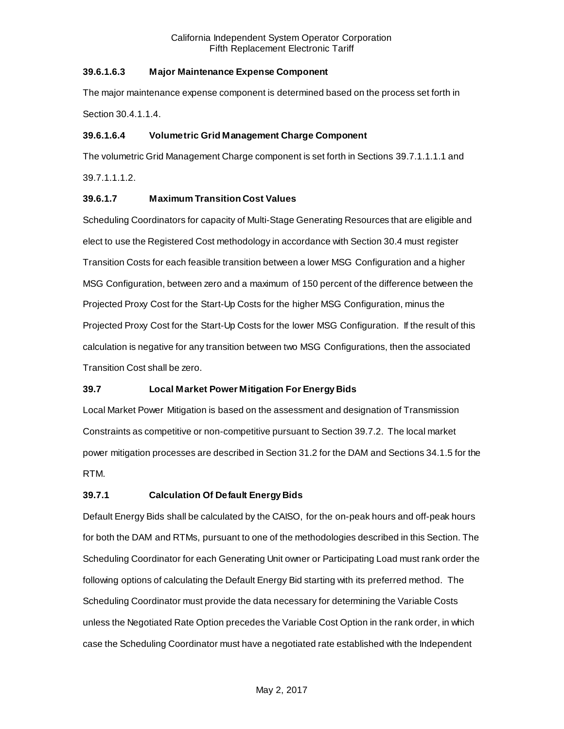# **39.6.1.6.3 Major Maintenance Expense Component**

The major maintenance expense component is determined based on the process set forth in Section 30.4.1.1.4.

# **39.6.1.6.4 Volumetric Grid Management Charge Component**

The volumetric Grid Management Charge component is set forth in Sections 39.7.1.1.1.1 and 39.7.1.1.1.2.

# **39.6.1.7 Maximum Transition Cost Values**

Scheduling Coordinators for capacity of Multi-Stage Generating Resources that are eligible and elect to use the Registered Cost methodology in accordance with Section 30.4 must register Transition Costs for each feasible transition between a lower MSG Configuration and a higher MSG Configuration, between zero and a maximum of 150 percent of the difference between the Projected Proxy Cost for the Start-Up Costs for the higher MSG Configuration, minus the Projected Proxy Cost for the Start-Up Costs for the lower MSG Configuration. If the result of this calculation is negative for any transition between two MSG Configurations, then the associated Transition Cost shall be zero.

# <span id="page-7-0"></span>**39.7 Local Market Power Mitigation For Energy Bids**

Local Market Power Mitigation is based on the assessment and designation of Transmission Constraints as competitive or non-competitive pursuant to Section 39.7.2. The local market power mitigation processes are described in Section 31.2 for the DAM and Sections 34.1.5 for the RTM.

# <span id="page-7-1"></span>**39.7.1 Calculation Of Default Energy Bids**

Default Energy Bids shall be calculated by the CAISO, for the on-peak hours and off-peak hours for both the DAM and RTMs, pursuant to one of the methodologies described in this Section. The Scheduling Coordinator for each Generating Unit owner or Participating Load must rank order the following options of calculating the Default Energy Bid starting with its preferred method. The Scheduling Coordinator must provide the data necessary for determining the Variable Costs unless the Negotiated Rate Option precedes the Variable Cost Option in the rank order, in which case the Scheduling Coordinator must have a negotiated rate established with the Independent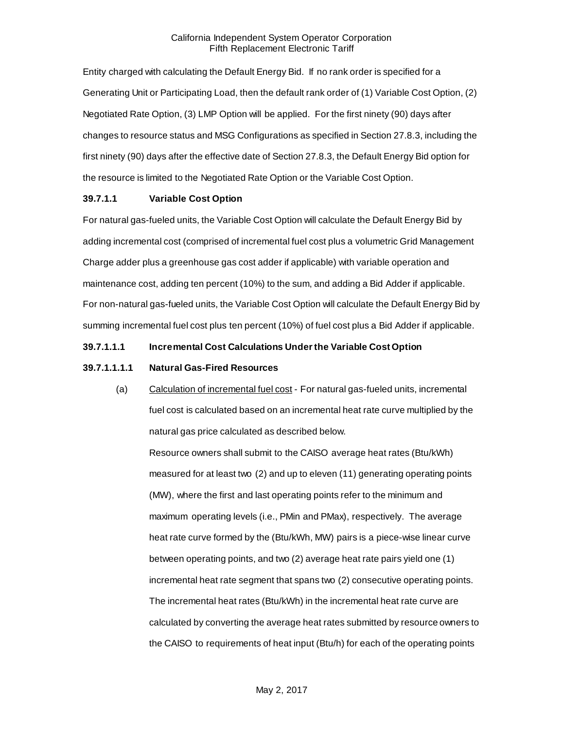Entity charged with calculating the Default Energy Bid. If no rank order is specified for a Generating Unit or Participating Load, then the default rank order of (1) Variable Cost Option, (2) Negotiated Rate Option, (3) LMP Option will be applied. For the first ninety (90) days after changes to resource status and MSG Configurations as specified in Section 27.8.3, including the first ninety (90) days after the effective date of Section 27.8.3, the Default Energy Bid option for the resource is limited to the Negotiated Rate Option or the Variable Cost Option.

# **39.7.1.1 Variable Cost Option**

For natural gas-fueled units, the Variable Cost Option will calculate the Default Energy Bid by adding incremental cost (comprised of incremental fuel cost plus a volumetric Grid Management Charge adder plus a greenhouse gas cost adder if applicable) with variable operation and maintenance cost, adding ten percent (10%) to the sum, and adding a Bid Adder if applicable. For non-natural gas-fueled units, the Variable Cost Option will calculate the Default Energy Bid by summing incremental fuel cost plus ten percent (10%) of fuel cost plus a Bid Adder if applicable.

### **39.7.1.1.1 Incremental Cost Calculations Under the Variable Cost Option**

#### **39.7.1.1.1.1 Natural Gas-Fired Resources**

(a) Calculation of incremental fuel cost - For natural gas-fueled units, incremental fuel cost is calculated based on an incremental heat rate curve multiplied by the natural gas price calculated as described below.

Resource owners shall submit to the CAISO average heat rates (Btu/kWh) measured for at least two (2) and up to eleven (11) generating operating points (MW), where the first and last operating points refer to the minimum and maximum operating levels (i.e., PMin and PMax), respectively. The average heat rate curve formed by the (Btu/kWh, MW) pairs is a piece-wise linear curve between operating points, and two (2) average heat rate pairs yield one (1) incremental heat rate segment that spans two (2) consecutive operating points. The incremental heat rates (Btu/kWh) in the incremental heat rate curve are calculated by converting the average heat rates submitted by resource owners to the CAISO to requirements of heat input (Btu/h) for each of the operating points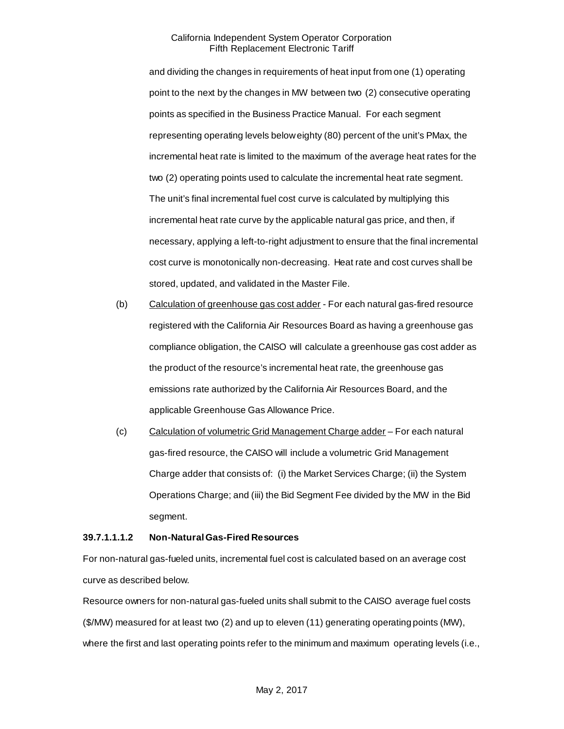and dividing the changes in requirements of heat input from one (1) operating point to the next by the changes in MW between two (2) consecutive operating points as specified in the Business Practice Manual. For each segment representing operating levels below eighty (80) percent of the unit's PMax, the incremental heat rate is limited to the maximum of the average heat rates for the two (2) operating points used to calculate the incremental heat rate segment. The unit's final incremental fuel cost curve is calculated by multiplying this incremental heat rate curve by the applicable natural gas price, and then, if necessary, applying a left-to-right adjustment to ensure that the final incremental cost curve is monotonically non-decreasing. Heat rate and cost curves shall be stored, updated, and validated in the Master File.

- (b) Calculation of greenhouse gas cost adder For each natural gas-fired resource registered with the California Air Resources Board as having a greenhouse gas compliance obligation, the CAISO will calculate a greenhouse gas cost adder as the product of the resource's incremental heat rate, the greenhouse gas emissions rate authorized by the California Air Resources Board, and the applicable Greenhouse Gas Allowance Price.
- (c) Calculation of volumetric Grid Management Charge adder For each natural gas-fired resource, the CAISO will include a volumetric Grid Management Charge adder that consists of: (i) the Market Services Charge; (ii) the System Operations Charge; and (iii) the Bid Segment Fee divided by the MW in the Bid segment.

#### **39.7.1.1.1.2 Non-Natural Gas-Fired Resources**

For non-natural gas-fueled units, incremental fuel cost is calculated based on an average cost curve as described below.

Resource owners for non-natural gas-fueled units shall submit to the CAISO average fuel costs (\$/MW) measured for at least two (2) and up to eleven (11) generating operating points (MW), where the first and last operating points refer to the minimum and maximum operating levels (i.e.,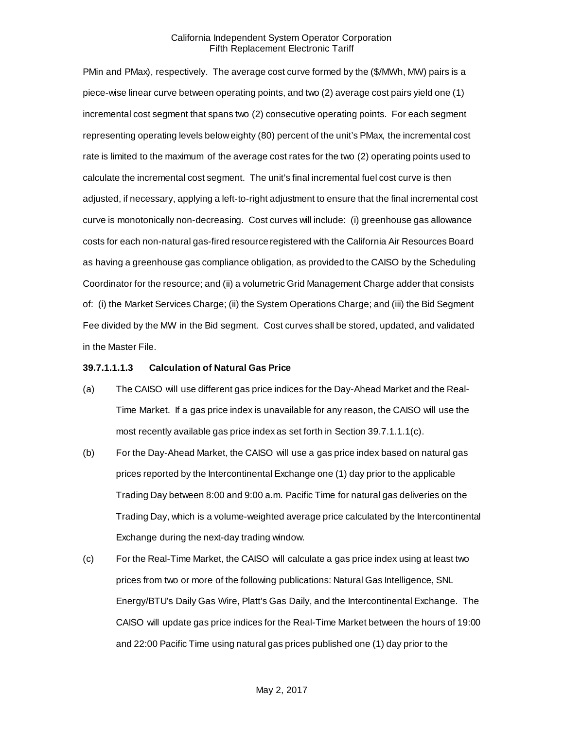PMin and PMax), respectively. The average cost curve formed by the (\$/MWh, MW) pairs is a piece-wise linear curve between operating points, and two (2) average cost pairs yield one (1) incremental cost segment that spans two (2) consecutive operating points. For each segment representing operating levels below eighty (80) percent of the unit's PMax, the incremental cost rate is limited to the maximum of the average cost rates for the two (2) operating points used to calculate the incremental cost segment. The unit's final incremental fuel cost curve is then adjusted, if necessary, applying a left-to-right adjustment to ensure that the final incremental cost curve is monotonically non-decreasing. Cost curves will include: (i) greenhouse gas allowance costs for each non-natural gas-fired resource registered with the California Air Resources Board as having a greenhouse gas compliance obligation, as provided to the CAISO by the Scheduling Coordinator for the resource; and (ii) a volumetric Grid Management Charge adder that consists of: (i) the Market Services Charge; (ii) the System Operations Charge; and (iii) the Bid Segment Fee divided by the MW in the Bid segment. Cost curves shall be stored, updated, and validated in the Master File.

#### **39.7.1.1.1.3 Calculation of Natural Gas Price**

- (a) The CAISO will use different gas price indices for the Day-Ahead Market and the Real-Time Market. If a gas price index is unavailable for any reason, the CAISO will use the most recently available gas price index as set forth in Section 39.7.1.1.1(c).
- (b) For the Day-Ahead Market, the CAISO will use a gas price index based on natural gas prices reported by the Intercontinental Exchange one (1) day prior to the applicable Trading Day between 8:00 and 9:00 a.m. Pacific Time for natural gas deliveries on the Trading Day, which is a volume-weighted average price calculated by the Intercontinental Exchange during the next-day trading window.
- (c) For the Real-Time Market, the CAISO will calculate a gas price index using at least two prices from two or more of the following publications: Natural Gas Intelligence, SNL Energy/BTU's Daily Gas Wire, Platt's Gas Daily, and the Intercontinental Exchange. The CAISO will update gas price indices for the Real-Time Market between the hours of 19:00 and 22:00 Pacific Time using natural gas prices published one (1) day prior to the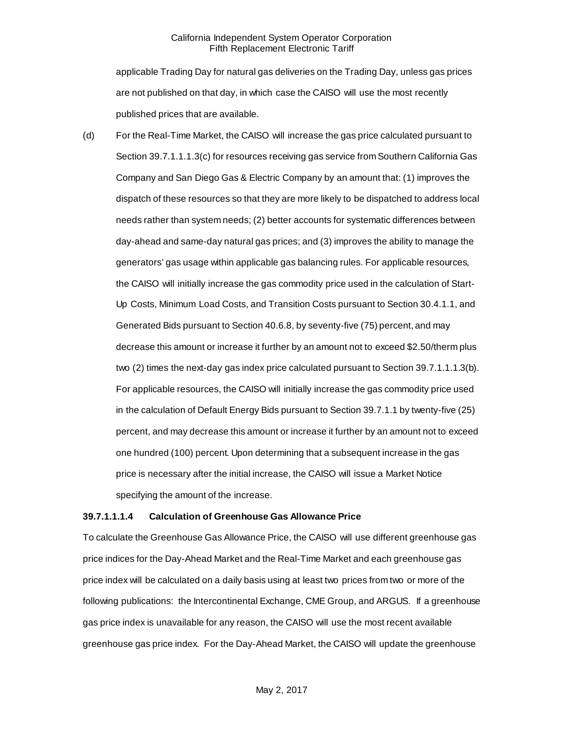applicable Trading Day for natural gas deliveries on the Trading Day, unless gas prices are not published on that day, in which case the CAISO will use the most recently published prices that are available.

(d) For the Real-Time Market, the CAISO will increase the gas price calculated pursuant to Section 39.7.1.1.1.3(c) for resources receiving gas service from Southern California Gas Company and San Diego Gas & Electric Company by an amount that: (1) improves the dispatch of these resources so that they are more likely to be dispatched to address local needs rather than system needs; (2) better accounts for systematic differences between day-ahead and same-day natural gas prices; and (3) improves the ability to manage the generators' gas usage within applicable gas balancing rules. For applicable resources, the CAISO will initially increase the gas commodity price used in the calculation of Start-Up Costs, Minimum Load Costs, and Transition Costs pursuant to Section 30.4.1.1, and Generated Bids pursuant to Section 40.6.8, by seventy-five (75) percent, and may decrease this amount or increase it further by an amount not to exceed \$2.50/therm plus two (2) times the next-day gas index price calculated pursuant to Section 39.7.1.1.1.3(b). For applicable resources, the CAISO will initially increase the gas commodity price used in the calculation of Default Energy Bids pursuant to Section 39.7.1.1 by twenty-five (25) percent, and may decrease this amount or increase it further by an amount not to exceed one hundred (100) percent. Upon determining that a subsequent increase in the gas price is necessary after the initial increase, the CAISO will issue a Market Notice specifying the amount of the increase.

#### **39.7.1.1.1.4 Calculation of Greenhouse Gas Allowance Price**

To calculate the Greenhouse Gas Allowance Price, the CAISO will use different greenhouse gas price indices for the Day-Ahead Market and the Real-Time Market and each greenhouse gas price index will be calculated on a daily basis using at least two prices from two or more of the following publications: the Intercontinental Exchange, CME Group, and ARGUS. If a greenhouse gas price index is unavailable for any reason, the CAISO will use the most recent available greenhouse gas price index. For the Day-Ahead Market, the CAISO will update the greenhouse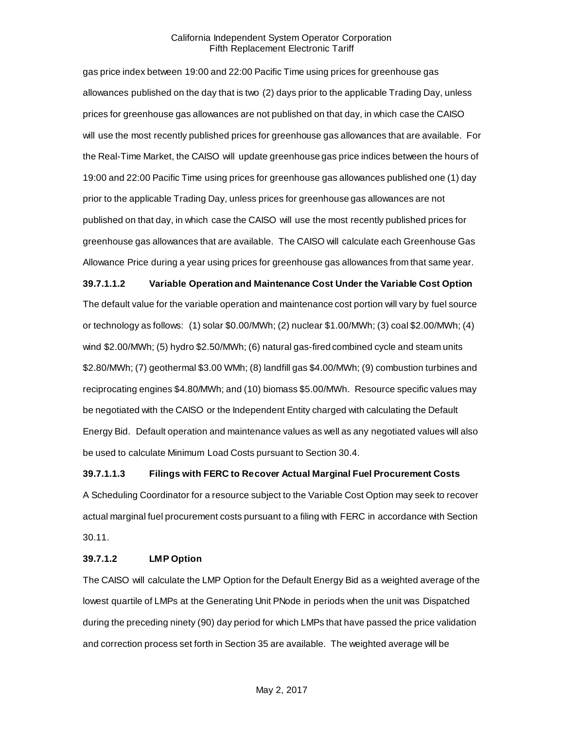gas price index between 19:00 and 22:00 Pacific Time using prices for greenhouse gas allowances published on the day that is two (2) days prior to the applicable Trading Day, unless prices for greenhouse gas allowances are not published on that day, in which case the CAISO will use the most recently published prices for greenhouse gas allowances that are available. For the Real-Time Market, the CAISO will update greenhouse gas price indices between the hours of 19:00 and 22:00 Pacific Time using prices for greenhouse gas allowances published one (1) day prior to the applicable Trading Day, unless prices for greenhouse gas allowances are not published on that day, in which case the CAISO will use the most recently published prices for greenhouse gas allowances that are available. The CAISO will calculate each Greenhouse Gas Allowance Price during a year using prices for greenhouse gas allowances from that same year.

**39.7.1.1.2 Variable Operation and Maintenance Cost Under the Variable Cost Option** The default value for the variable operation and maintenance cost portion will vary by fuel source or technology as follows: (1) solar \$0.00/MWh; (2) nuclear \$1.00/MWh; (3) coal \$2.00/MWh; (4) wind \$2.00/MWh; (5) hydro \$2.50/MWh; (6) natural gas-fired combined cycle and steam units \$2.80/MWh; (7) geothermal \$3.00 WMh; (8) landfill gas \$4.00/MWh; (9) combustion turbines and reciprocating engines \$4.80/MWh; and (10) biomass \$5.00/MWh. Resource specific values may be negotiated with the CAISO or the Independent Entity charged with calculating the Default Energy Bid. Default operation and maintenance values as well as any negotiated values will also be used to calculate Minimum Load Costs pursuant to Section 30.4.

**39.7.1.1.3 Filings with FERC to Recover Actual Marginal Fuel Procurement Costs**

A Scheduling Coordinator for a resource subject to the Variable Cost Option may seek to recover actual marginal fuel procurement costs pursuant to a filing with FERC in accordance with Section 30.11.

#### **39.7.1.2 LMP Option**

The CAISO will calculate the LMP Option for the Default Energy Bid as a weighted average of the lowest quartile of LMPs at the Generating Unit PNode in periods when the unit was Dispatched during the preceding ninety (90) day period for which LMPs that have passed the price validation and correction process set forth in Section 35 are available. The weighted average will be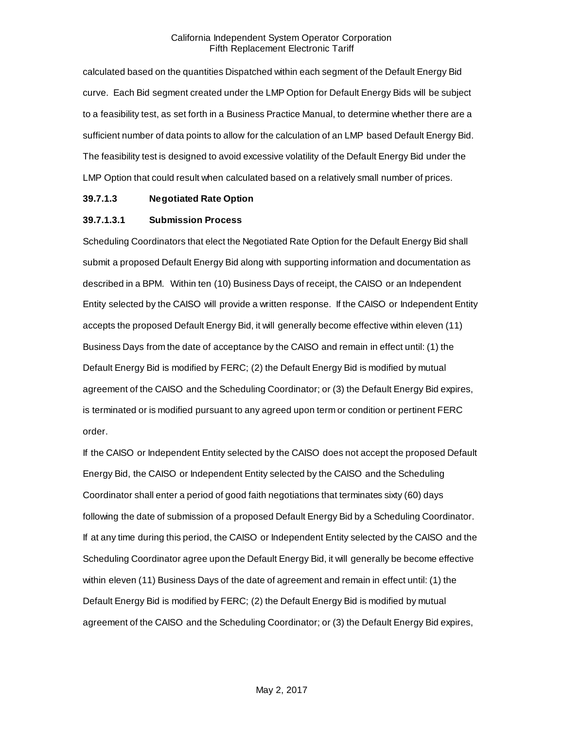calculated based on the quantities Dispatched within each segment of the Default Energy Bid curve. Each Bid segment created under the LMP Option for Default Energy Bids will be subject to a feasibility test, as set forth in a Business Practice Manual, to determine whether there are a sufficient number of data points to allow for the calculation of an LMP based Default Energy Bid. The feasibility test is designed to avoid excessive volatility of the Default Energy Bid under the LMP Option that could result when calculated based on a relatively small number of prices.

#### **39.7.1.3 Negotiated Rate Option**

### **39.7.1.3.1 Submission Process**

Scheduling Coordinators that elect the Negotiated Rate Option for the Default Energy Bid shall submit a proposed Default Energy Bid along with supporting information and documentation as described in a BPM. Within ten (10) Business Days of receipt, the CAISO or an Independent Entity selected by the CAISO will provide a written response. If the CAISO or Independent Entity accepts the proposed Default Energy Bid, it will generally become effective within eleven (11) Business Days from the date of acceptance by the CAISO and remain in effect until: (1) the Default Energy Bid is modified by FERC; (2) the Default Energy Bid is modified by mutual agreement of the CAISO and the Scheduling Coordinator; or (3) the Default Energy Bid expires, is terminated or is modified pursuant to any agreed upon term or condition or pertinent FERC order.

If the CAISO or Independent Entity selected by the CAISO does not accept the proposed Default Energy Bid, the CAISO or Independent Entity selected by the CAISO and the Scheduling Coordinator shall enter a period of good faith negotiations that terminates sixty (60) days following the date of submission of a proposed Default Energy Bid by a Scheduling Coordinator. If at any time during this period, the CAISO or Independent Entity selected by the CAISO and the Scheduling Coordinator agree upon the Default Energy Bid, it will generally be become effective within eleven (11) Business Days of the date of agreement and remain in effect until: (1) the Default Energy Bid is modified by FERC; (2) the Default Energy Bid is modified by mutual agreement of the CAISO and the Scheduling Coordinator; or (3) the Default Energy Bid expires,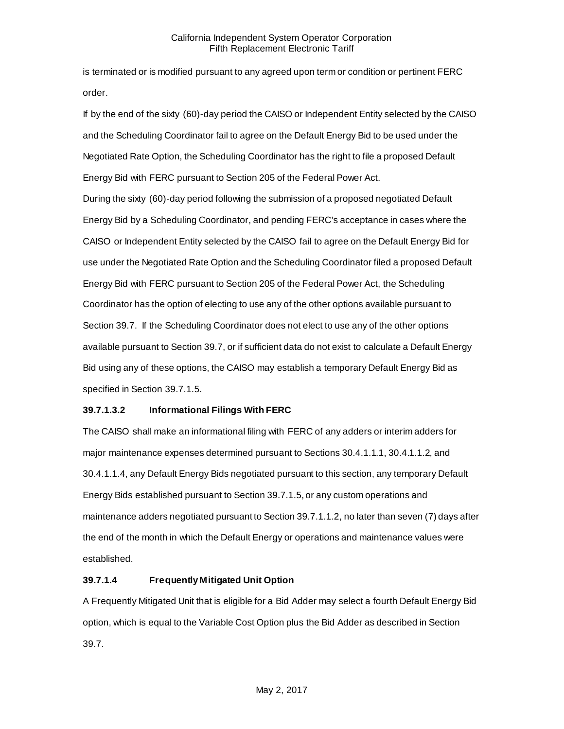is terminated or is modified pursuant to any agreed upon term or condition or pertinent FERC order.

If by the end of the sixty (60)-day period the CAISO or Independent Entity selected by the CAISO and the Scheduling Coordinator fail to agree on the Default Energy Bid to be used under the Negotiated Rate Option, the Scheduling Coordinator has the right to file a proposed Default Energy Bid with FERC pursuant to Section 205 of the Federal Power Act.

During the sixty (60)-day period following the submission of a proposed negotiated Default Energy Bid by a Scheduling Coordinator, and pending FERC's acceptance in cases where the CAISO or Independent Entity selected by the CAISO fail to agree on the Default Energy Bid for use under the Negotiated Rate Option and the Scheduling Coordinator filed a proposed Default Energy Bid with FERC pursuant to Section 205 of the Federal Power Act, the Scheduling Coordinator has the option of electing to use any of the other options available pursuant to Section 39.7. If the Scheduling Coordinator does not elect to use any of the other options available pursuant to Section 39.7, or if sufficient data do not exist to calculate a Default Energy Bid using any of these options, the CAISO may establish a temporary Default Energy Bid as specified in Section 39.7.1.5.

# **39.7.1.3.2 Informational Filings With FERC**

The CAISO shall make an informational filing with FERC of any adders or interim adders for major maintenance expenses determined pursuant to Sections 30.4.1.1.1, 30.4.1.1.2, and 30.4.1.1.4, any Default Energy Bids negotiated pursuant to this section, any temporary Default Energy Bids established pursuant to Section 39.7.1.5, or any custom operations and maintenance adders negotiated pursuant to Section 39.7.1.1.2, no later than seven (7) days after the end of the month in which the Default Energy or operations and maintenance values were established.

# **39.7.1.4 Frequently Mitigated Unit Option**

A Frequently Mitigated Unit that is eligible for a Bid Adder may select a fourth Default Energy Bid option, which is equal to the Variable Cost Option plus the Bid Adder as described in Section 39.7.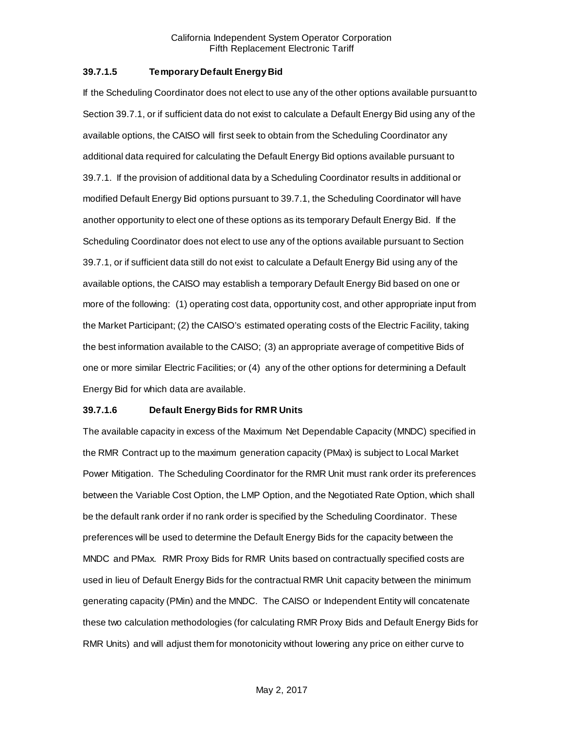### **39.7.1.5 Temporary Default Energy Bid**

If the Scheduling Coordinator does not elect to use any of the other options available pursuant to Section 39.7.1, or if sufficient data do not exist to calculate a Default Energy Bid using any of the available options, the CAISO will first seek to obtain from the Scheduling Coordinator any additional data required for calculating the Default Energy Bid options available pursuant to 39.7.1. If the provision of additional data by a Scheduling Coordinator results in additional or modified Default Energy Bid options pursuant to 39.7.1, the Scheduling Coordinator will have another opportunity to elect one of these options as its temporary Default Energy Bid. If the Scheduling Coordinator does not elect to use any of the options available pursuant to Section 39.7.1, or if sufficient data still do not exist to calculate a Default Energy Bid using any of the available options, the CAISO may establish a temporary Default Energy Bid based on one or more of the following: (1) operating cost data, opportunity cost, and other appropriate input from the Market Participant; (2) the CAISO's estimated operating costs of the Electric Facility, taking the best information available to the CAISO; (3) an appropriate average of competitive Bids of one or more similar Electric Facilities; or (4) any of the other options for determining a Default Energy Bid for which data are available.

#### **39.7.1.6 Default Energy Bids for RMR Units**

The available capacity in excess of the Maximum Net Dependable Capacity (MNDC) specified in the RMR Contract up to the maximum generation capacity (PMax) is subject to Local Market Power Mitigation. The Scheduling Coordinator for the RMR Unit must rank order its preferences between the Variable Cost Option, the LMP Option, and the Negotiated Rate Option, which shall be the default rank order if no rank order is specified by the Scheduling Coordinator. These preferences will be used to determine the Default Energy Bids for the capacity between the MNDC and PMax. RMR Proxy Bids for RMR Units based on contractually specified costs are used in lieu of Default Energy Bids for the contractual RMR Unit capacity between the minimum generating capacity (PMin) and the MNDC. The CAISO or Independent Entity will concatenate these two calculation methodologies (for calculating RMR Proxy Bids and Default Energy Bids for RMR Units) and will adjust them for monotonicity without lowering any price on either curve to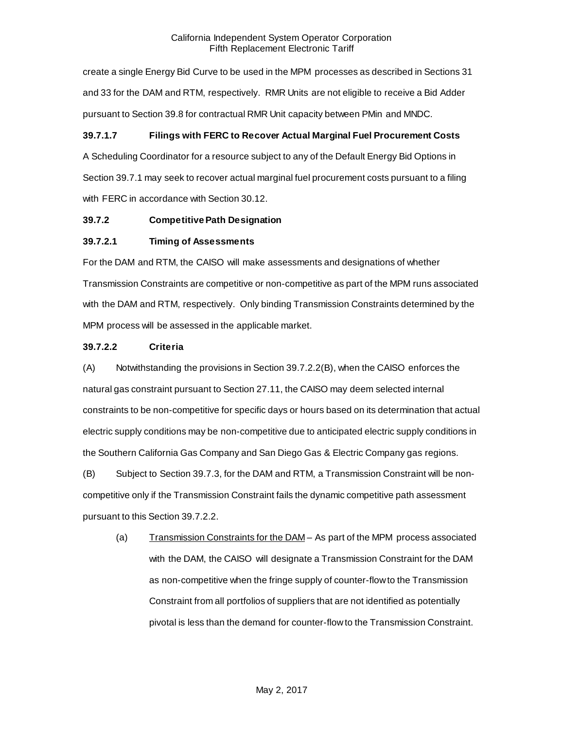create a single Energy Bid Curve to be used in the MPM processes as described in Sections 31 and 33 for the DAM and RTM, respectively. RMR Units are not eligible to receive a Bid Adder pursuant to Section 39.8 for contractual RMR Unit capacity between PMin and MNDC.

# **39.7.1.7 Filings with FERC to Recover Actual Marginal Fuel Procurement Costs**

A Scheduling Coordinator for a resource subject to any of the Default Energy Bid Options in Section 39.7.1 may seek to recover actual marginal fuel procurement costs pursuant to a filing with FERC in accordance with Section 30.12.

# <span id="page-16-0"></span>**39.7.2 Competitive Path Designation**

# **39.7.2.1 Timing of Assessments**

For the DAM and RTM, the CAISO will make assessments and designations of whether Transmission Constraints are competitive or non-competitive as part of the MPM runs associated with the DAM and RTM, respectively. Only binding Transmission Constraints determined by the MPM process will be assessed in the applicable market.

# **39.7.2.2 Criteria**

(A) Notwithstanding the provisions in Section 39.7.2.2(B), when the CAISO enforces the natural gas constraint pursuant to Section 27.11, the CAISO may deem selected internal constraints to be non-competitive for specific days or hours based on its determination that actual electric supply conditions may be non-competitive due to anticipated electric supply conditions in the Southern California Gas Company and San Diego Gas & Electric Company gas regions.

(B) Subject to Section 39.7.3, for the DAM and RTM, a Transmission Constraint will be noncompetitive only if the Transmission Constraint fails the dynamic competitive path assessment pursuant to this Section 39.7.2.2.

(a) Transmission Constraints for the DAM – As part of the MPM process associated with the DAM, the CAISO will designate a Transmission Constraint for the DAM as non-competitive when the fringe supply of counter-flow to the Transmission Constraint from all portfolios of suppliers that are not identified as potentially pivotal is less than the demand for counter-flow to the Transmission Constraint.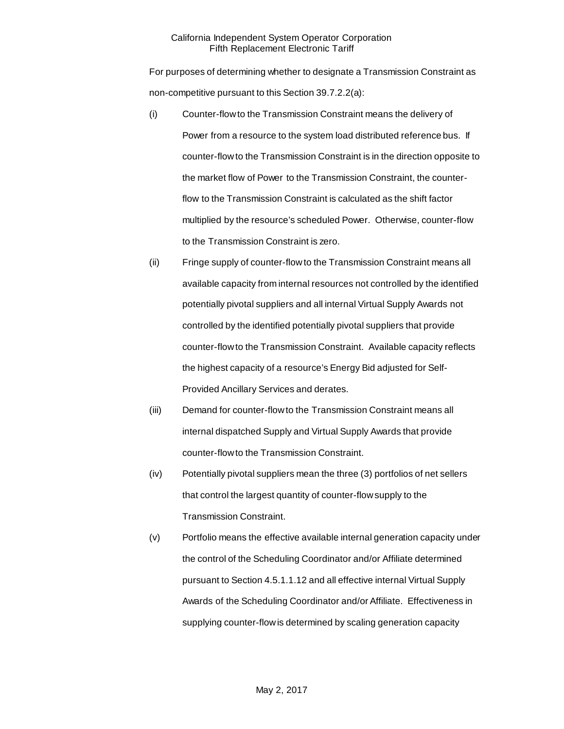For purposes of determining whether to designate a Transmission Constraint as non-competitive pursuant to this Section 39.7.2.2(a):

- (i) Counter-flow to the Transmission Constraint means the delivery of Power from a resource to the system load distributed reference bus. If counter-flow to the Transmission Constraint is in the direction opposite to the market flow of Power to the Transmission Constraint, the counterflow to the Transmission Constraint is calculated as the shift factor multiplied by the resource's scheduled Power. Otherwise, counter-flow to the Transmission Constraint is zero.
- (ii) Fringe supply of counter-flow to the Transmission Constraint means all available capacity from internal resources not controlled by the identified potentially pivotal suppliers and all internal Virtual Supply Awards not controlled by the identified potentially pivotal suppliers that provide counter-flow to the Transmission Constraint. Available capacity reflects the highest capacity of a resource's Energy Bid adjusted for Self-Provided Ancillary Services and derates.
- (iii) Demand for counter-flow to the Transmission Constraint means all internal dispatched Supply and Virtual Supply Awards that provide counter-flow to the Transmission Constraint.
- (iv) Potentially pivotal suppliers mean the three (3) portfolios of net sellers that control the largest quantity of counter-flow supply to the Transmission Constraint.
- (v) Portfolio means the effective available internal generation capacity under the control of the Scheduling Coordinator and/or Affiliate determined pursuant to Section 4.5.1.1.12 and all effective internal Virtual Supply Awards of the Scheduling Coordinator and/or Affiliate. Effectiveness in supplying counter-flow is determined by scaling generation capacity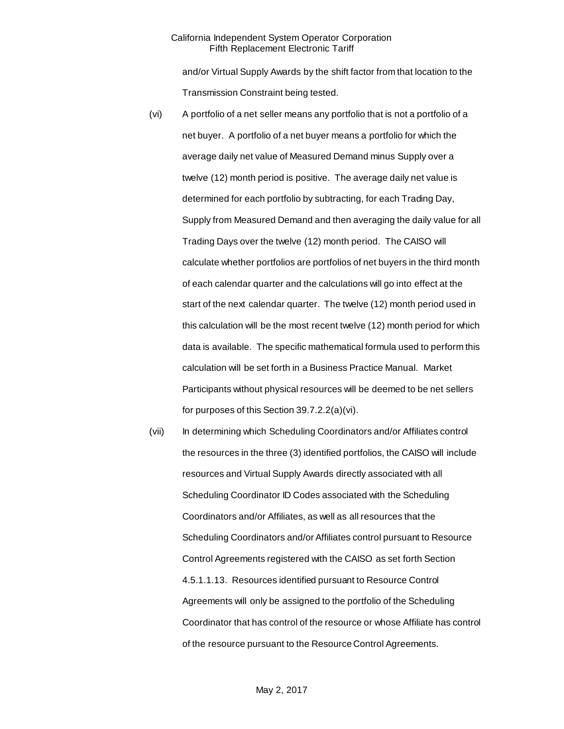and/or Virtual Supply Awards by the shift factor from that location to the Transmission Constraint being tested.

- (vi) A portfolio of a net seller means any portfolio that is not a portfolio of a net buyer. A portfolio of a net buyer means a portfolio for which the average daily net value of Measured Demand minus Supply over a twelve (12) month period is positive. The average daily net value is determined for each portfolio by subtracting, for each Trading Day, Supply from Measured Demand and then averaging the daily value for all Trading Days over the twelve (12) month period. The CAISO will calculate whether portfolios are portfolios of net buyers in the third month of each calendar quarter and the calculations will go into effect at the start of the next calendar quarter. The twelve (12) month period used in this calculation will be the most recent twelve (12) month period for which data is available. The specific mathematical formula used to perform this calculation will be set forth in a Business Practice Manual. Market Participants without physical resources will be deemed to be net sellers for purposes of this Section 39.7.2.2(a)(vi).
- (vii) In determining which Scheduling Coordinators and/or Affiliates control the resources in the three (3) identified portfolios, the CAISO will include resources and Virtual Supply Awards directly associated with all Scheduling Coordinator ID Codes associated with the Scheduling Coordinators and/or Affiliates, as well as all resources that the Scheduling Coordinators and/or Affiliates control pursuant to Resource Control Agreements registered with the CAISO as set forth Section 4.5.1.1.13. Resources identified pursuant to Resource Control Agreements will only be assigned to the portfolio of the Scheduling Coordinator that has control of the resource or whose Affiliate has control of the resource pursuant to the Resource Control Agreements.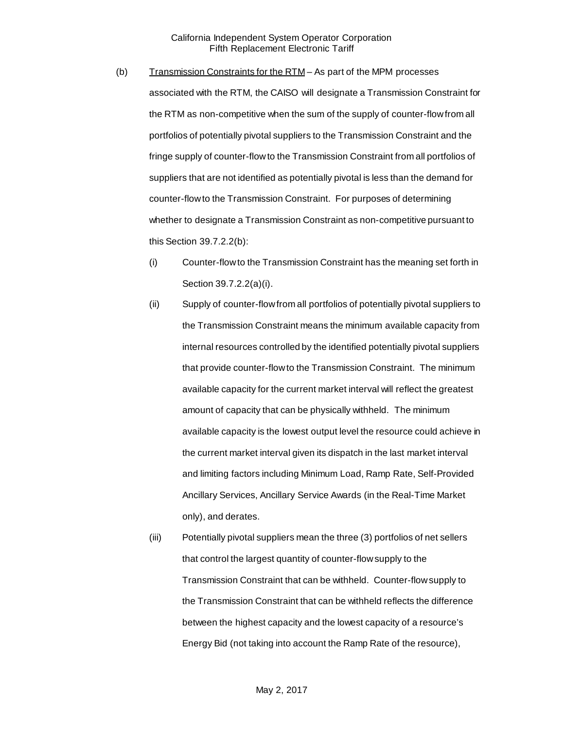- (b) Transmission Constraints for the  $RTM As$  part of the MPM processes associated with the RTM, the CAISO will designate a Transmission Constraint for the RTM as non-competitive when the sum of the supply of counter-flow from all portfolios of potentially pivotal suppliers to the Transmission Constraint and the fringe supply of counter-flow to the Transmission Constraint from all portfolios of suppliers that are not identified as potentially pivotal is less than the demand for counter-flow to the Transmission Constraint. For purposes of determining whether to designate a Transmission Constraint as non-competitive pursuant to this Section 39.7.2.2(b):
	- (i) Counter-flow to the Transmission Constraint has the meaning set forth in Section 39.7.2.2(a)(i).
	- (ii) Supply of counter-flow from all portfolios of potentially pivotal suppliers to the Transmission Constraint means the minimum available capacity from internal resources controlled by the identified potentially pivotal suppliers that provide counter-flow to the Transmission Constraint. The minimum available capacity for the current market interval will reflect the greatest amount of capacity that can be physically withheld. The minimum available capacity is the lowest output level the resource could achieve in the current market interval given its dispatch in the last market interval and limiting factors including Minimum Load, Ramp Rate, Self-Provided Ancillary Services, Ancillary Service Awards (in the Real-Time Market only), and derates.
	- (iii) Potentially pivotal suppliers mean the three (3) portfolios of net sellers that control the largest quantity of counter-flow supply to the Transmission Constraint that can be withheld. Counter-flow supply to the Transmission Constraint that can be withheld reflects the difference between the highest capacity and the lowest capacity of a resource's Energy Bid (not taking into account the Ramp Rate of the resource),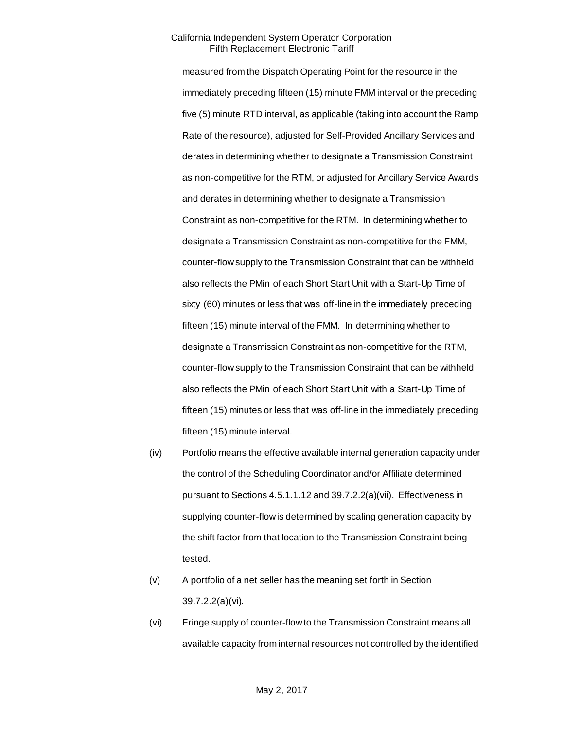measured from the Dispatch Operating Point for the resource in the immediately preceding fifteen (15) minute FMM interval or the preceding five (5) minute RTD interval, as applicable (taking into account the Ramp Rate of the resource), adjusted for Self-Provided Ancillary Services and derates in determining whether to designate a Transmission Constraint as non-competitive for the RTM, or adjusted for Ancillary Service Awards and derates in determining whether to designate a Transmission Constraint as non-competitive for the RTM. In determining whether to designate a Transmission Constraint as non-competitive for the FMM, counter-flow supply to the Transmission Constraint that can be withheld also reflects the PMin of each Short Start Unit with a Start-Up Time of sixty (60) minutes or less that was off-line in the immediately preceding fifteen (15) minute interval of the FMM. In determining whether to designate a Transmission Constraint as non-competitive for the RTM, counter-flow supply to the Transmission Constraint that can be withheld also reflects the PMin of each Short Start Unit with a Start-Up Time of fifteen (15) minutes or less that was off-line in the immediately preceding fifteen (15) minute interval.

- (iv) Portfolio means the effective available internal generation capacity under the control of the Scheduling Coordinator and/or Affiliate determined pursuant to Sections 4.5.1.1.12 and 39.7.2.2(a)(vii). Effectiveness in supplying counter-flow is determined by scaling generation capacity by the shift factor from that location to the Transmission Constraint being tested.
- (v) A portfolio of a net seller has the meaning set forth in Section 39.7.2.2(a)(vi).
- (vi) Fringe supply of counter-flow to the Transmission Constraint means all available capacity from internal resources not controlled by the identified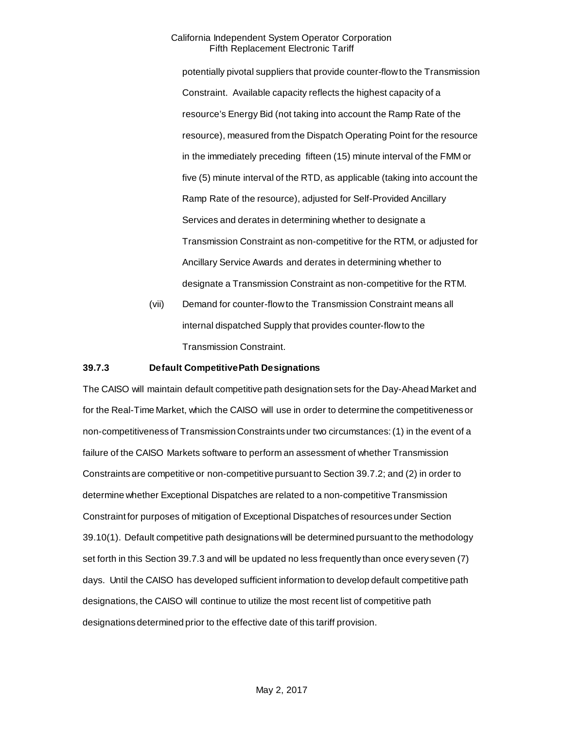potentially pivotal suppliers that provide counter-flow to the Transmission Constraint. Available capacity reflects the highest capacity of a resource's Energy Bid (not taking into account the Ramp Rate of the resource), measured from the Dispatch Operating Point for the resource in the immediately preceding fifteen (15) minute interval of the FMM or five (5) minute interval of the RTD, as applicable (taking into account the Ramp Rate of the resource), adjusted for Self-Provided Ancillary Services and derates in determining whether to designate a Transmission Constraint as non-competitive for the RTM, or adjusted for Ancillary Service Awards and derates in determining whether to designate a Transmission Constraint as non-competitive for the RTM.

(vii) Demand for counter-flow to the Transmission Constraint means all internal dispatched Supply that provides counter-flow to the Transmission Constraint.

#### <span id="page-21-0"></span>**39.7.3 Default CompetitivePath Designations**

The CAISO will maintain default competitive path designation sets for the Day-Ahead Market and for the Real-Time Market, which the CAISO will use in order to determine the competitiveness or non-competitiveness of Transmission Constraints under two circumstances:(1) in the event of a failure of the CAISO Markets software to perform an assessment of whether Transmission Constraints are competitive or non-competitive pursuant to Section 39.7.2; and (2) in order to determine whether Exceptional Dispatches are related to a non-competitive Transmission Constraint for purposes of mitigation of Exceptional Dispatches of resources under Section 39.10(1). Default competitive path designationswill be determined pursuant to the methodology set forth in this Section 39.7.3 and will be updated no less frequently than once every seven (7) days. Until the CAISO has developed sufficient information to develop default competitive path designations, the CAISO will continue to utilize the most recent list of competitive path designations determined prior to the effective date of this tariff provision.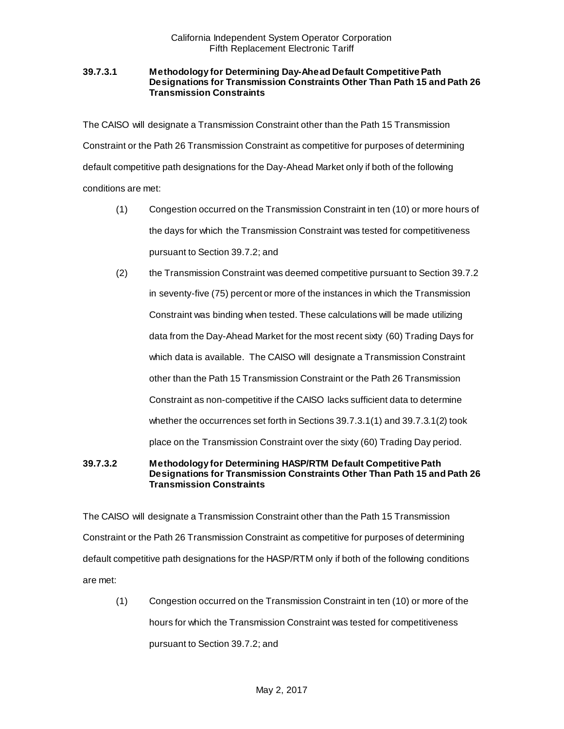### **39.7.3.1 Methodology for Determining Day-Ahead Default Competitive Path Designations for Transmission Constraints Other Than Path 15 and Path 26 Transmission Constraints**

The CAISO will designate a Transmission Constraint other than the Path 15 Transmission Constraint or the Path 26 Transmission Constraint as competitive for purposes of determining default competitive path designations for the Day-Ahead Market only if both of the following conditions are met:

- (1) Congestion occurred on the Transmission Constraint in ten (10) or more hours of the days for which the Transmission Constraint was tested for competitiveness pursuant to Section 39.7.2; and
- (2) the Transmission Constraint was deemed competitive pursuant to Section 39.7.2 in seventy-five (75) percent or more of the instances in which the Transmission Constraint was binding when tested. These calculations will be made utilizing data from the Day-Ahead Market for the most recent sixty (60) Trading Days for which data is available. The CAISO will designate a Transmission Constraint other than the Path 15 Transmission Constraint or the Path 26 Transmission Constraint as non-competitive if the CAISO lacks sufficient data to determine whether the occurrences set forth in Sections 39.7.3.1(1) and 39.7.3.1(2) took place on the Transmission Constraint over the sixty (60) Trading Day period.

## **39.7.3.2 Methodology for Determining HASP/RTM Default Competitive Path Designations for Transmission Constraints Other Than Path 15 and Path 26 Transmission Constraints**

The CAISO will designate a Transmission Constraint other than the Path 15 Transmission Constraint or the Path 26 Transmission Constraint as competitive for purposes of determining default competitive path designations for the HASP/RTM only if both of the following conditions are met:

(1) Congestion occurred on the Transmission Constraint in ten (10) or more of the hours for which the Transmission Constraint was tested for competitiveness pursuant to Section 39.7.2; and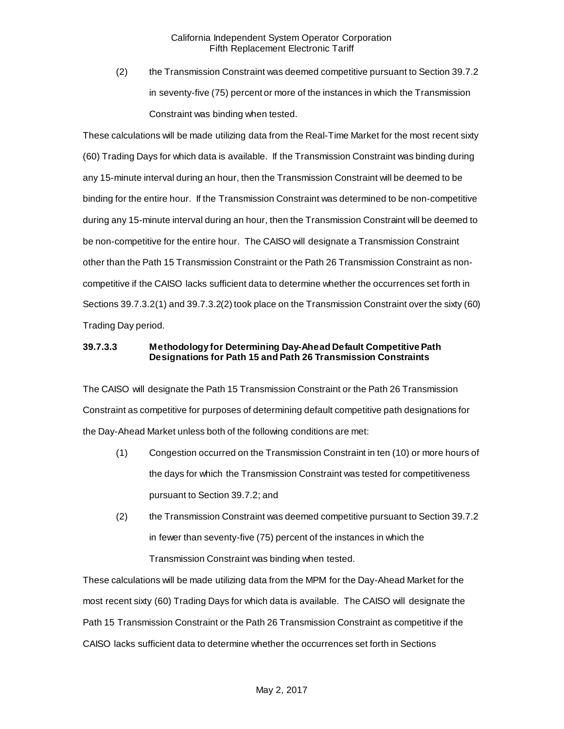(2) the Transmission Constraint was deemed competitive pursuant to Section 39.7.2 in seventy-five (75) percent or more of the instances in which the Transmission Constraint was binding when tested.

These calculations will be made utilizing data from the Real-Time Market for the most recent sixty (60) Trading Days for which data is available. If the Transmission Constraint was binding during any 15-minute interval during an hour, then the Transmission Constraint will be deemed to be binding for the entire hour. If the Transmission Constraint was determined to be non-competitive during any 15-minute interval during an hour, then the Transmission Constraint will be deemed to be non-competitive for the entire hour. The CAISO will designate a Transmission Constraint other than the Path 15 Transmission Constraint or the Path 26 Transmission Constraint as noncompetitive if the CAISO lacks sufficient data to determine whether the occurrences set forth in Sections 39.7.3.2(1) and 39.7.3.2(2) took place on the Transmission Constraint over the sixty (60) Trading Day period.

# **39.7.3.3 Methodology for Determining Day-Ahead Default Competitive Path Designations for Path 15 and Path 26 Transmission Constraints**

The CAISO will designate the Path 15 Transmission Constraint or the Path 26 Transmission Constraint as competitive for purposes of determining default competitive path designations for the Day-Ahead Market unless both of the following conditions are met:

- (1) Congestion occurred on the Transmission Constraint in ten (10) or more hours of the days for which the Transmission Constraint was tested for competitiveness pursuant to Section 39.7.2; and
- (2) the Transmission Constraint was deemed competitive pursuant to Section 39.7.2 in fewer than seventy-five (75) percent of the instances in which the

Transmission Constraint was binding when tested.

These calculations will be made utilizing data from the MPM for the Day-Ahead Market for the most recent sixty (60) Trading Days for which data is available. The CAISO will designate the Path 15 Transmission Constraint or the Path 26 Transmission Constraint as competitive if the CAISO lacks sufficient data to determine whether the occurrences set forth in Sections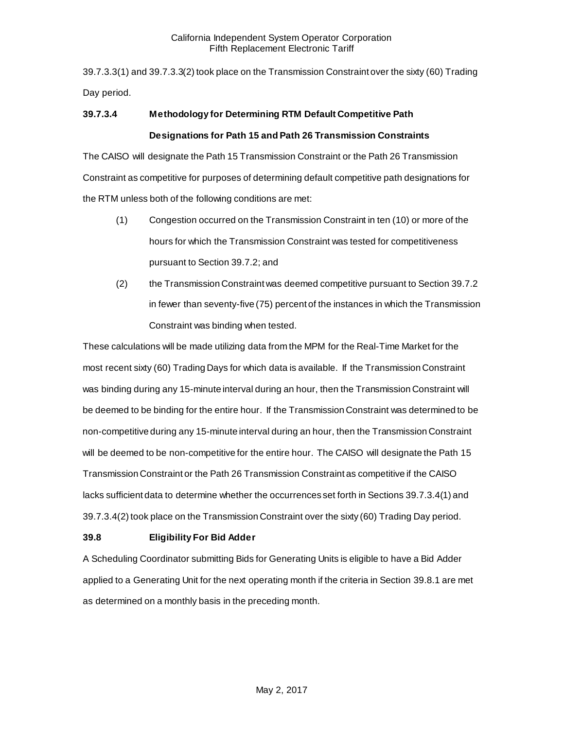39.7.3.3(1) and 39.7.3.3(2) took place on the Transmission Constraint over the sixty (60) Trading Day period.

# **39.7.3.4 Methodology for Determining RTM Default Competitive Path Designations for Path 15 and Path 26 Transmission Constraints**

The CAISO will designate the Path 15 Transmission Constraint or the Path 26 Transmission Constraint as competitive for purposes of determining default competitive path designations for the RTM unless both of the following conditions are met:

- (1) Congestion occurred on the Transmission Constraint in ten (10) or more of the hours for which the Transmission Constraint was tested for competitiveness pursuant to Section 39.7.2; and
- (2) the Transmission Constraint was deemed competitive pursuant to Section 39.7.2 in fewer than seventy-five (75) percent of the instances in which the Transmission Constraint was binding when tested.

These calculations will be made utilizing data from the MPM for the Real-Time Market for the most recent sixty (60) Trading Days for which data is available. If the Transmission Constraint was binding during any 15-minute interval during an hour, then the Transmission Constraint will be deemed to be binding for the entire hour. If the Transmission Constraint was determined to be non-competitive during any 15-minute interval during an hour, then the Transmission Constraint will be deemed to be non-competitive for the entire hour. The CAISO will designate the Path 15 Transmission Constraint or the Path 26 Transmission Constraint as competitive if the CAISO lacks sufficient data to determine whether the occurrences set forth in Sections 39.7.3.4(1) and 39.7.3.4(2) took place on the Transmission Constraint over the sixty (60) Trading Day period.

# <span id="page-24-0"></span>**39.8 Eligibility For Bid Adder**

A Scheduling Coordinator submitting Bids for Generating Units is eligible to have a Bid Adder applied to a Generating Unit for the next operating month if the criteria in Section 39.8.1 are met as determined on a monthly basis in the preceding month.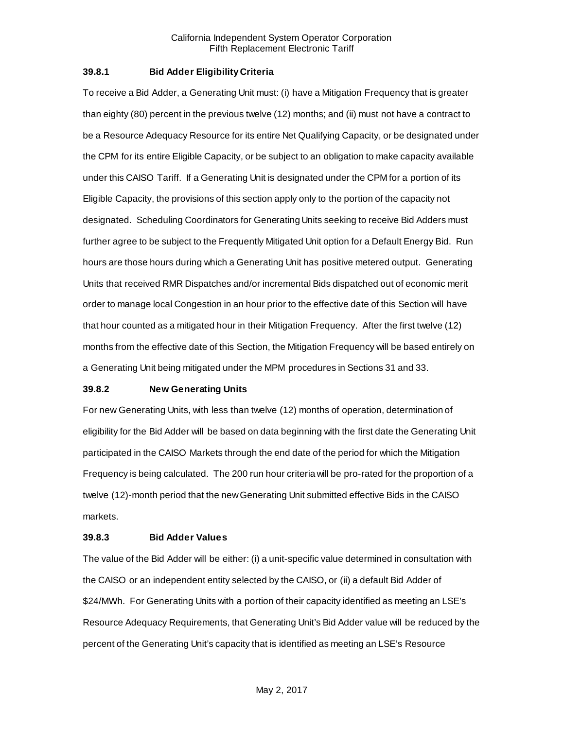### <span id="page-25-0"></span>**39.8.1 Bid Adder Eligibility Criteria**

To receive a Bid Adder, a Generating Unit must: (i) have a Mitigation Frequency that is greater than eighty (80) percent in the previous twelve (12) months; and (ii) must not have a contract to be a Resource Adequacy Resource for its entire Net Qualifying Capacity, or be designated under the CPM for its entire Eligible Capacity, or be subject to an obligation to make capacity available under this CAISO Tariff. If a Generating Unit is designated under the CPM for a portion of its Eligible Capacity, the provisions of this section apply only to the portion of the capacity not designated. Scheduling Coordinators for Generating Units seeking to receive Bid Adders must further agree to be subject to the Frequently Mitigated Unit option for a Default Energy Bid. Run hours are those hours during which a Generating Unit has positive metered output. Generating Units that received RMR Dispatches and/or incremental Bids dispatched out of economic merit order to manage local Congestion in an hour prior to the effective date of this Section will have that hour counted as a mitigated hour in their Mitigation Frequency. After the first twelve (12) months from the effective date of this Section, the Mitigation Frequency will be based entirely on a Generating Unit being mitigated under the MPM procedures in Sections 31 and 33.

#### <span id="page-25-1"></span>**39.8.2 New Generating Units**

For new Generating Units, with less than twelve (12) months of operation, determination of eligibility for the Bid Adder will be based on data beginning with the first date the Generating Unit participated in the CAISO Markets through the end date of the period for which the Mitigation Frequency is being calculated. The 200 run hour criteria will be pro-rated for the proportion of a twelve (12)-month period that the new Generating Unit submitted effective Bids in the CAISO markets.

#### <span id="page-25-2"></span>**39.8.3 Bid Adder Values**

The value of the Bid Adder will be either: (i) a unit-specific value determined in consultation with the CAISO or an independent entity selected by the CAISO, or (ii) a default Bid Adder of \$24/MWh. For Generating Units with a portion of their capacity identified as meeting an LSE's Resource Adequacy Requirements, that Generating Unit's Bid Adder value will be reduced by the percent of the Generating Unit's capacity that is identified as meeting an LSE's Resource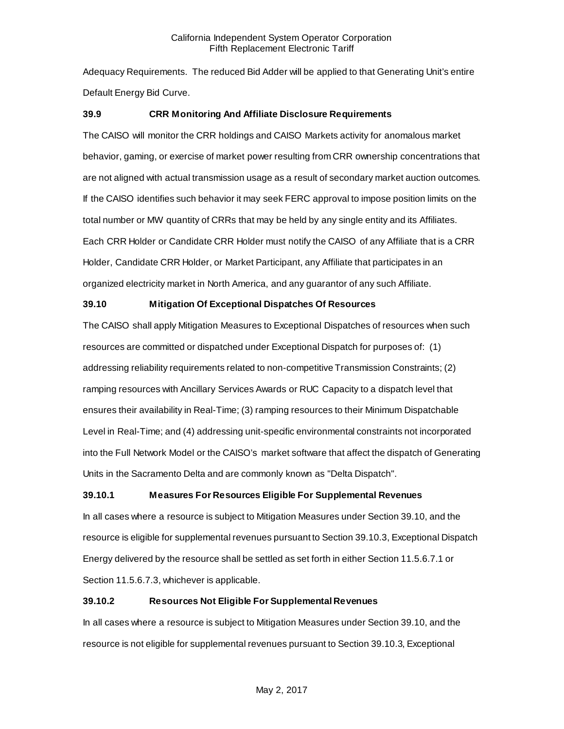Adequacy Requirements. The reduced Bid Adder will be applied to that Generating Unit's entire Default Energy Bid Curve.

# <span id="page-26-0"></span>**39.9 CRR Monitoring And Affiliate Disclosure Requirements**

The CAISO will monitor the CRR holdings and CAISO Markets activity for anomalous market behavior, gaming, or exercise of market power resulting from CRR ownership concentrations that are not aligned with actual transmission usage as a result of secondary market auction outcomes. If the CAISO identifies such behavior it may seek FERC approval to impose position limits on the total number or MW quantity of CRRs that may be held by any single entity and its Affiliates. Each CRR Holder or Candidate CRR Holder must notify the CAISO of any Affiliate that is a CRR Holder, Candidate CRR Holder, or Market Participant, any Affiliate that participates in an organized electricity market in North America, and any guarantor of any such Affiliate.

# <span id="page-26-1"></span>**39.10 Mitigation Of Exceptional Dispatches Of Resources**

The CAISO shall apply Mitigation Measures to Exceptional Dispatches of resources when such resources are committed or dispatched under Exceptional Dispatch for purposes of: (1) addressing reliability requirements related to non-competitive Transmission Constraints; (2) ramping resources with Ancillary Services Awards or RUC Capacity to a dispatch level that ensures their availability in Real-Time; (3) ramping resources to their Minimum Dispatchable Level in Real-Time; and (4) addressing unit-specific environmental constraints not incorporated into the Full Network Model or the CAISO's market software that affect the dispatch of Generating Units in the Sacramento Delta and are commonly known as "Delta Dispatch".

# <span id="page-26-2"></span>**39.10.1 Measures For Resources Eligible For Supplemental Revenues**

In all cases where a resource is subject to Mitigation Measures under Section 39.10, and the resource is eligible for supplemental revenues pursuant to Section 39.10.3, Exceptional Dispatch Energy delivered by the resource shall be settled as set forth in either Section 11.5.6.7.1 or Section 11.5.6.7.3, whichever is applicable.

# <span id="page-26-3"></span>**39.10.2 Resources Not Eligible For Supplemental Revenues**

In all cases where a resource is subject to Mitigation Measures under Section 39.10, and the resource is not eligible for supplemental revenues pursuant to Section 39.10.3, Exceptional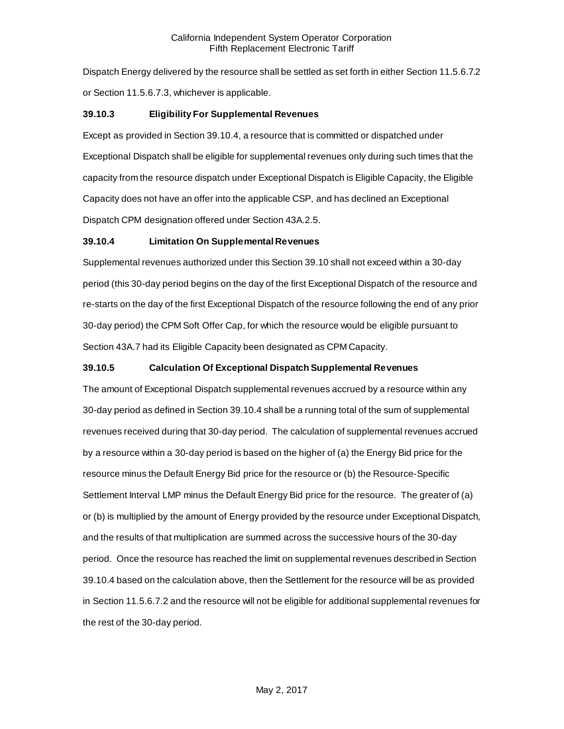Dispatch Energy delivered by the resource shall be settled as set forth in either Section 11.5.6.7.2 or Section 11.5.6.7.3, whichever is applicable.

# <span id="page-27-0"></span>**39.10.3 Eligibility For Supplemental Revenues**

Except as provided in Section 39.10.4, a resource that is committed or dispatched under Exceptional Dispatch shall be eligible for supplemental revenues only during such times that the capacity from the resource dispatch under Exceptional Dispatch is Eligible Capacity, the Eligible Capacity does not have an offer into the applicable CSP, and has declined an Exceptional Dispatch CPM designation offered under Section 43A.2.5.

# <span id="page-27-1"></span>**39.10.4 Limitation On Supplemental Revenues**

Supplemental revenues authorized under this Section 39.10 shall not exceed within a 30-day period (this 30-day period begins on the day of the first Exceptional Dispatch of the resource and re-starts on the day of the first Exceptional Dispatch of the resource following the end of any prior 30-day period) the CPM Soft Offer Cap, for which the resource would be eligible pursuant to Section 43A.7 had its Eligible Capacity been designated as CPM Capacity.

# <span id="page-27-2"></span>**39.10.5 Calculation Of Exceptional Dispatch Supplemental Revenues**

The amount of Exceptional Dispatch supplemental revenues accrued by a resource within any 30-day period as defined in Section 39.10.4 shall be a running total of the sum of supplemental revenues received during that 30-day period. The calculation of supplemental revenues accrued by a resource within a 30-day period is based on the higher of (a) the Energy Bid price for the resource minus the Default Energy Bid price for the resource or (b) the Resource-Specific Settlement Interval LMP minus the Default Energy Bid price for the resource. The greater of (a) or (b) is multiplied by the amount of Energy provided by the resource under Exceptional Dispatch, and the results of that multiplication are summed across the successive hours of the 30-day period. Once the resource has reached the limit on supplemental revenues described in Section 39.10.4 based on the calculation above, then the Settlement for the resource will be as provided in Section 11.5.6.7.2 and the resource will not be eligible for additional supplemental revenues for the rest of the 30-day period.